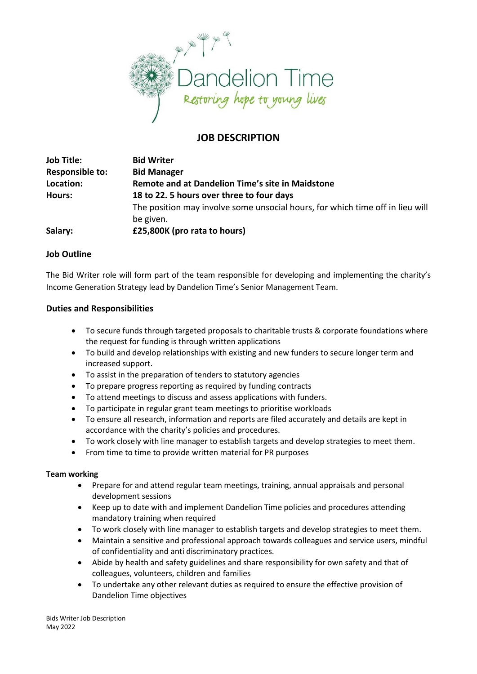

# **JOB DESCRIPTION**

| <b>Job Title:</b>      | <b>Bid Writer</b>                                                             |
|------------------------|-------------------------------------------------------------------------------|
| <b>Responsible to:</b> | <b>Bid Manager</b>                                                            |
| Location:              | Remote and at Dandelion Time's site in Maidstone                              |
| <b>Hours:</b>          | 18 to 22. 5 hours over three to four days                                     |
|                        | The position may involve some unsocial hours, for which time off in lieu will |
|                        | be given.                                                                     |
| Salary:                | £25,800K (pro rata to hours)                                                  |

# **Job Outline**

The Bid Writer role will form part of the team responsible for developing and implementing the charity's Income Generation Strategy lead by Dandelion Time's Senior Management Team.

### **Duties and Responsibilities**

- To secure funds through targeted proposals to charitable trusts & corporate foundations where the request for funding is through written applications
- To build and develop relationships with existing and new funders to secure longer term and increased support.
- To assist in the preparation of tenders to statutory agencies
- To prepare progress reporting as required by funding contracts
- To attend meetings to discuss and assess applications with funders.
- To participate in regular grant team meetings to prioritise workloads
- To ensure all research, information and reports are filed accurately and details are kept in accordance with the charity's policies and procedures.
- To work closely with line manager to establish targets and develop strategies to meet them.
- From time to time to provide written material for PR purposes

#### **Team working**

- Prepare for and attend regular team meetings, training, annual appraisals and personal development sessions
- Keep up to date with and implement Dandelion Time policies and procedures attending mandatory training when required
- To work closely with line manager to establish targets and develop strategies to meet them.
- Maintain a sensitive and professional approach towards colleagues and service users, mindful of confidentiality and anti discriminatory practices.
- Abide by health and safety guidelines and share responsibility for own safety and that of colleagues, volunteers, children and families
- To undertake any other relevant duties as required to ensure the effective provision of Dandelion Time objectives

Bids Writer Job Description May 2022